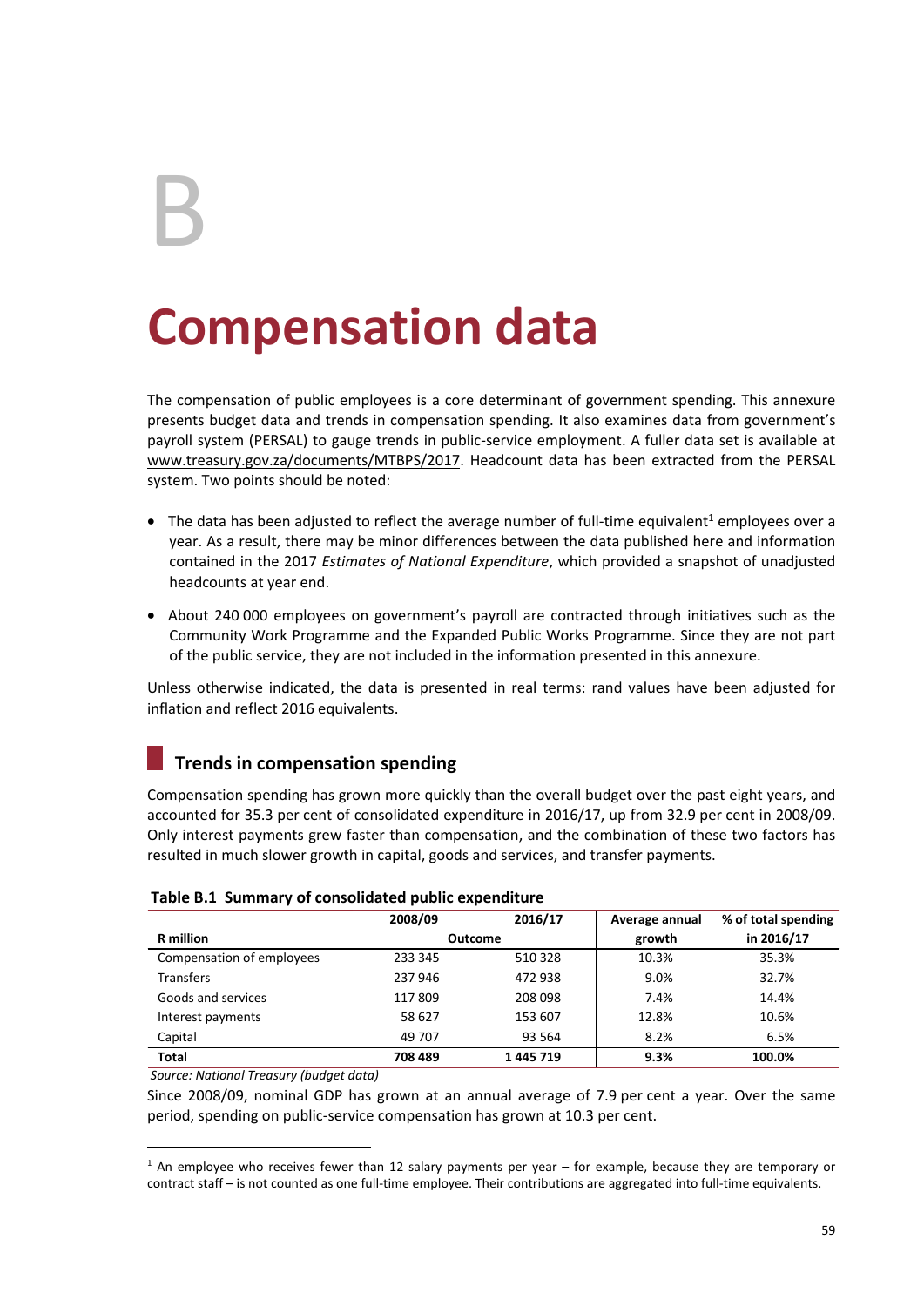B

# **Compensation data**

The compensation of public employees is a core determinant of government spending. This annexure presents budget data and trends in compensation spending. It also examines data from government's payroll system (PERSAL) to gauge trends in public-service employment. A fuller data set is available at www.treasury.gov.za/documents/MTBPS/2017. Headcount data has been extracted from the PERSAL system. Two points should be noted:

- The data has been adjusted to reflect the average number of full-time equivalent<sup>1</sup> employees over a year. As a result, there may be minor differences between the data published here and information contained in the 2017 *Estimates of National Expenditure*, which provided a snapshot of unadjusted headcounts at year end.
- About 240 000 employees on government's payroll are contracted through initiatives such as the Community Work Programme and the Expanded Public Works Programme. Since they are not part of the public service, they are not included in the information presented in this annexure.

Unless otherwise indicated, the data is presented in real terms: rand values have been adjusted for inflation and reflect 2016 equivalents.

## **Trends in compensation spending**

Compensation spending has grown more quickly than the overall budget over the past eight years, and accounted for 35.3 per cent of consolidated expenditure in 2016/17, up from 32.9 per cent in 2008/09. Only interest payments grew faster than compensation, and the combination of these two factors has resulted in much slower growth in capital, goods and services, and transfer payments.

|                           | 2008/09 | 2016/17 | Average annual | % of total spending |
|---------------------------|---------|---------|----------------|---------------------|
| <b>R</b> million          |         | Outcome |                | in 2016/17          |
| Compensation of employees | 233 345 | 510 328 | 10.3%          | 35.3%               |
| <b>Transfers</b>          | 237 946 | 472 938 | 9.0%           | 32.7%               |
| Goods and services        | 117809  | 208 098 | 7.4%           | 14.4%               |
| Interest payments         | 58 627  | 153 607 | 12.8%          | 10.6%               |
| Capital                   | 49 707  | 93 5 64 | 8.2%           | 6.5%                |
| <b>Total</b>              | 708 489 | 1445719 | 9.3%           | 100.0%              |

### **Table B.1 Summary of consolidated public expenditure**

#### *Source: National Treasury (budget data)*

-

Since 2008/09, nominal GDP has grown at an annual average of 7.9 per cent a year. Over the same period, spending on public-service compensation has grown at 10.3 per cent.

 $1$  An employee who receives fewer than 12 salary payments per year – for example, because they are temporary or contract staff – is not counted as one full-time employee. Their contributions are aggregated into full-time equivalents.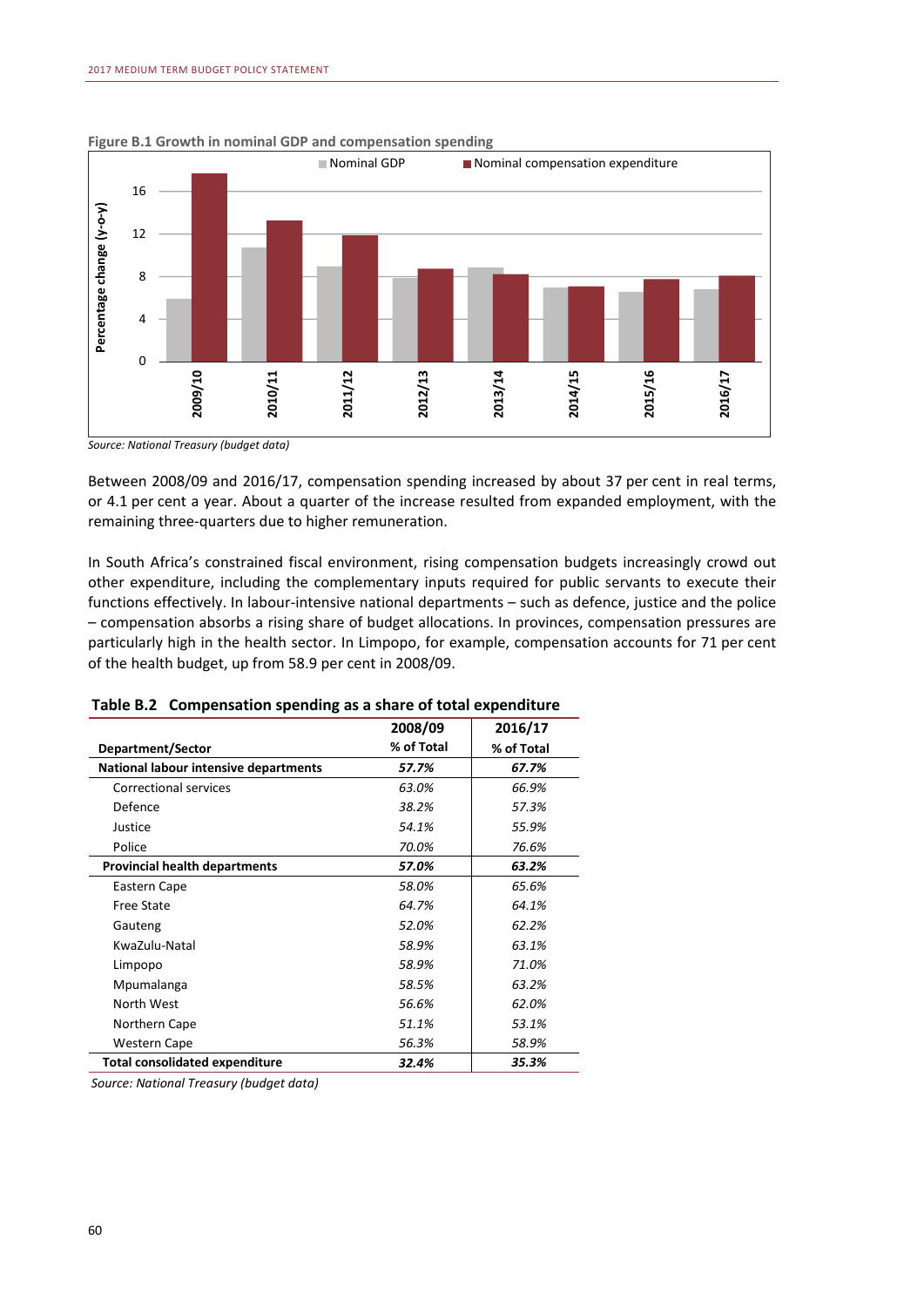

**Figure B.1 Growth in nominal GDP and compensation spending** 

*Source: National Treasury (budget data)* 

Between 2008/09 and 2016/17, compensation spending increased by about 37 per cent in real terms, or 4.1 per cent a year. About a quarter of the increase resulted from expanded employment, with the remaining three-quarters due to higher remuneration.

In South Africa's constrained fiscal environment, rising compensation budgets increasingly crowd out other expenditure, including the complementary inputs required for public servants to execute their functions effectively. In labour-intensive national departments – such as defence, justice and the police – compensation absorbs a rising share of budget allocations. In provinces, compensation pressures are particularly high in the health sector. In Limpopo, for example, compensation accounts for 71 per cent of the health budget, up from 58.9 per cent in 2008/09.

|                                       | 2008/09    | 2016/17    |
|---------------------------------------|------------|------------|
| Department/Sector                     | % of Total | % of Total |
| National labour intensive departments | 57.7%      | 67.7%      |
| <b>Correctional services</b>          | 63.0%      | 66.9%      |
| Defence                               | 38.2%      | 57.3%      |
| Justice                               | 54.1%      | 55.9%      |
| Police                                | 70.0%      | 76.6%      |
| <b>Provincial health departments</b>  | 57.0%      | 63.2%      |
| Eastern Cape                          | 58.0%      | 65.6%      |
| <b>Free State</b>                     | 64.7%      | 64.1%      |
| Gauteng                               | 52.0%      | 62.2%      |
| KwaZulu-Natal                         | 58.9%      | 63.1%      |
| Limpopo                               | 58.9%      | 71.0%      |
| Mpumalanga                            | 58.5%      | 63.2%      |
| North West                            | 56.6%      | 62.0%      |
| Northern Cape                         | 51.1%      | 53.1%      |
| <b>Western Cape</b>                   | 56.3%      | 58.9%      |
| <b>Total consolidated expenditure</b> | 32.4%      | 35.3%      |

**Table B.2 Compensation spending as a share of total expenditure**

*Source: National Treasury (budget data)*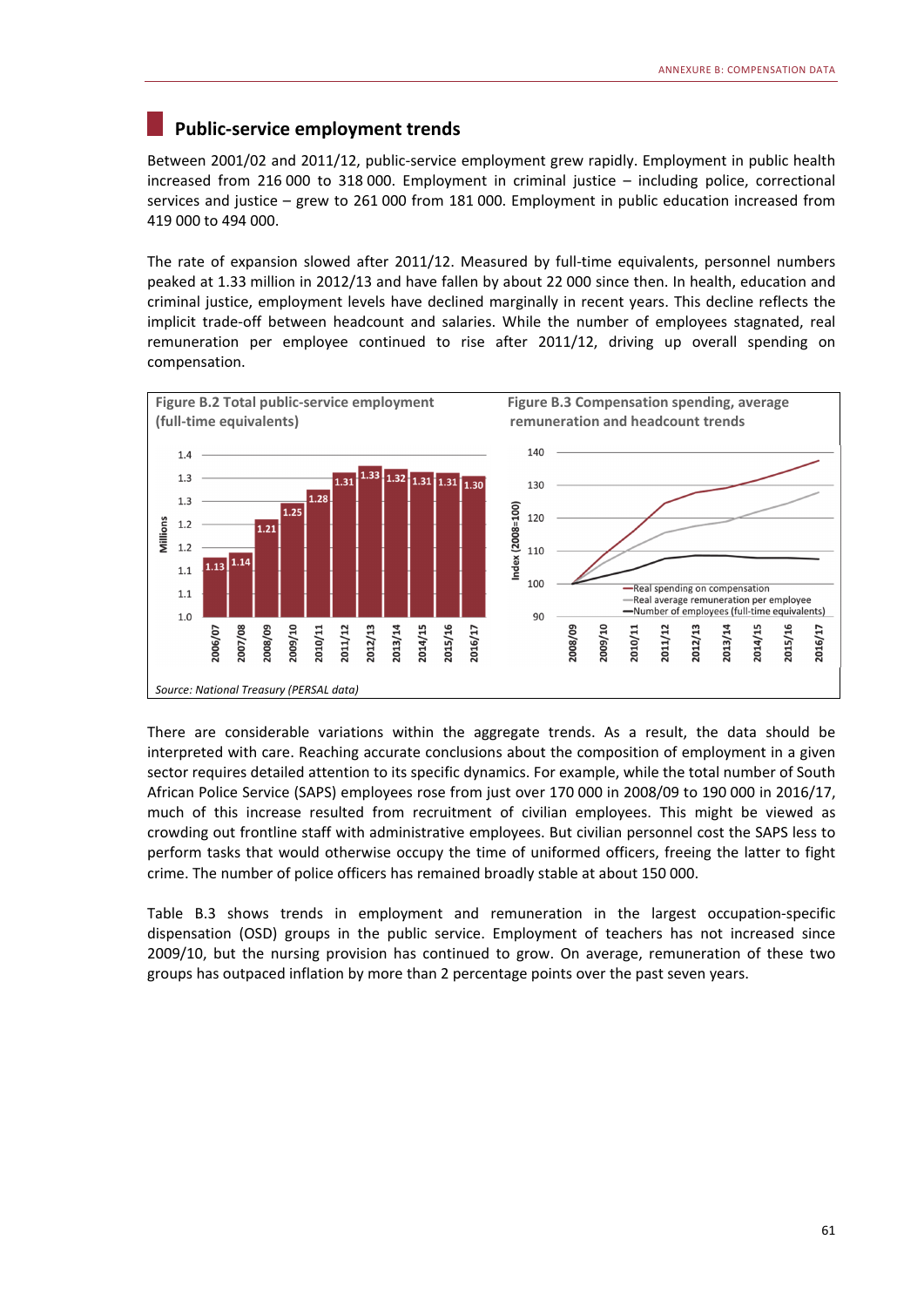## **Public-service employment trends**

Between 2001/02 and 2011/12, public-service employment grew rapidly. Employment in public health increased from 216 000 to 318 000. Employment in criminal justice – including police, correctional services and justice – grew to 261 000 from 181 000. Employment in public education increased from 419 000 to 494 000.

The rate of expansion slowed after 2011/12. Measured by full-time equivalents, personnel numbers peaked at 1.33 million in 2012/13 and have fallen by about 22 000 since then. In health, education and criminal justice, employment levels have declined marginally in recent years. This decline reflects the implicit trade-off between headcount and salaries. While the number of employees stagnated, real remuneration per employee continued to rise after 2011/12, driving up overall spending on compensation.



There are considerable variations within the aggregate trends. As a result, the data should be interpreted with care. Reaching accurate conclusions about the composition of employment in a given sector requires detailed attention to its specific dynamics. For example, while the total number of South African Police Service (SAPS) employees rose from just over 170 000 in 2008/09 to 190 000 in 2016/17, much of this increase resulted from recruitment of civilian employees. This might be viewed as crowding out frontline staff with administrative employees. But civilian personnel cost the SAPS less to perform tasks that would otherwise occupy the time of uniformed officers, freeing the latter to fight crime. The number of police officers has remained broadly stable at about 150 000.

Table B.3 shows trends in employment and remuneration in the largest occupation-specific dispensation (OSD) groups in the public service. Employment of teachers has not increased since 2009/10, but the nursing provision has continued to grow. On average, remuneration of these two groups has outpaced inflation by more than 2 percentage points over the past seven years.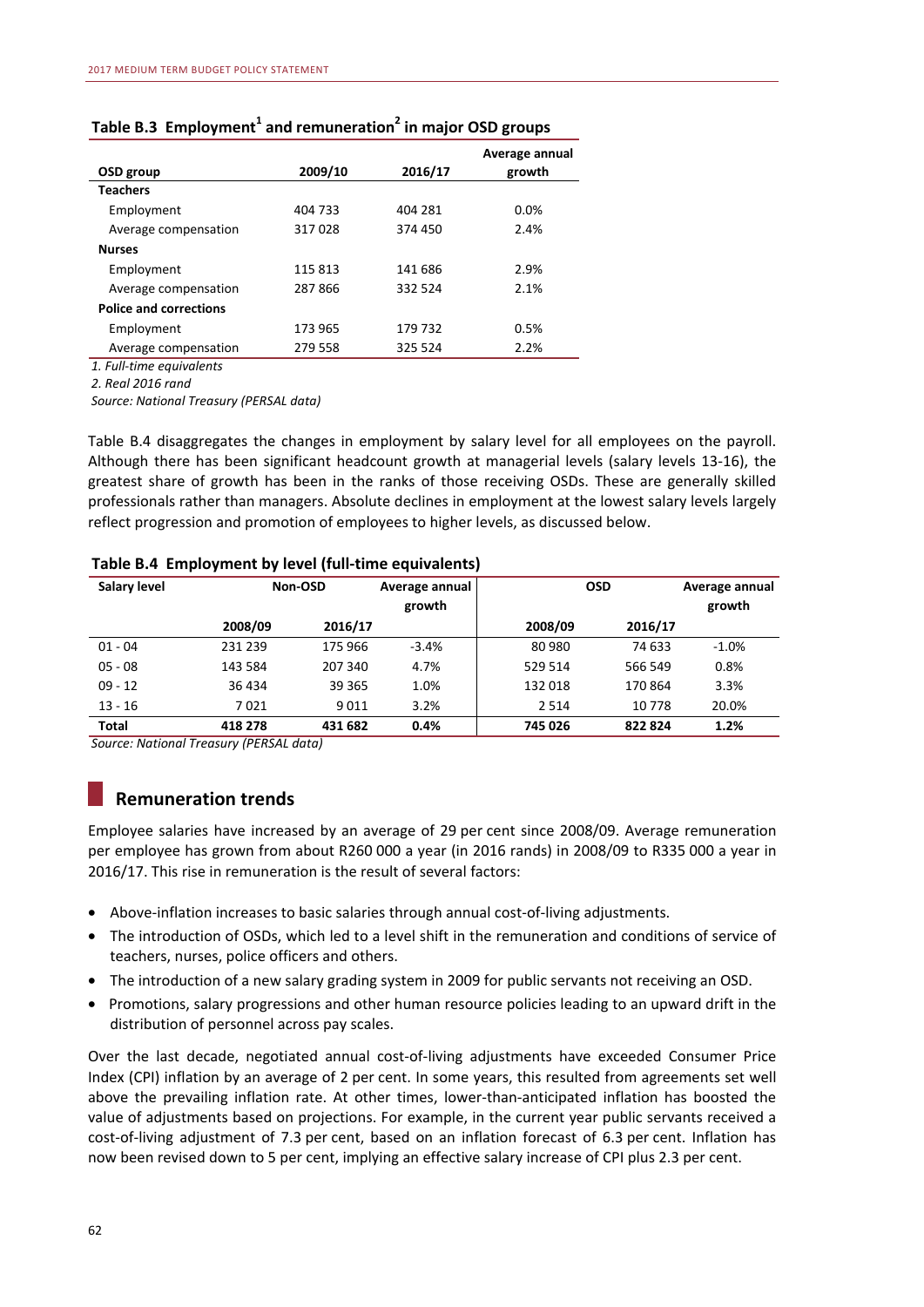| OSD group                     | 2009/10 | 2016/17 | Average annual<br>growth |
|-------------------------------|---------|---------|--------------------------|
| <b>Teachers</b>               |         |         |                          |
| Employment                    | 404 733 | 404 281 | 0.0%                     |
| Average compensation          | 317028  | 374 450 | 2.4%                     |
| <b>Nurses</b>                 |         |         |                          |
| Employment                    | 115813  | 141 686 | 2.9%                     |
| Average compensation          | 287866  | 332 524 | 2.1%                     |
| <b>Police and corrections</b> |         |         |                          |
| Employment                    | 173 965 | 179 732 | 0.5%                     |
| Average compensation          | 279 558 | 325 524 | 2.2%                     |

## Table B.3 Employment<sup>1</sup> and remuneration<sup>2</sup> in major OSD groups

*1. Full-time equivalents*

*2. Real 2016 rand*

*Source: National Treasury (PERSAL data)*

Table B.4 disaggregates the changes in employment by salary level for all employees on the payroll. Although there has been significant headcount growth at managerial levels (salary levels 13-16), the greatest share of growth has been in the ranks of those receiving OSDs. These are generally skilled professionals rather than managers. Absolute declines in employment at the lowest salary levels largely reflect progression and promotion of employees to higher levels, as discussed below.

| Salary level | Non-OSD |         | Average annual<br>growth |         | <b>OSD</b> |          |
|--------------|---------|---------|--------------------------|---------|------------|----------|
|              | 2008/09 | 2016/17 |                          | 2008/09 | 2016/17    |          |
| $01 - 04$    | 231 239 | 175 966 | $-3.4%$                  | 80 980  | 74 633     | $-1.0\%$ |
| $05 - 08$    | 143 584 | 207 340 | 4.7%                     | 529 514 | 566 549    | 0.8%     |
| $09 - 12$    | 36 434  | 39 3 65 | 1.0%                     | 132 018 | 170864     | 3.3%     |
| $13 - 16$    | 7021    | 9011    | 3.2%                     | 2 5 1 4 | 10778      | 20.0%    |
| <b>Total</b> | 418 278 | 431 682 | 0.4%                     | 745 026 | 822824     | 1.2%     |

#### **Table B.4 Employment by level (full-time equivalents)**

*Source: National Treasury (PERSAL data)*

## **Remuneration trends**

Employee salaries have increased by an average of 29 per cent since 2008/09. Average remuneration per employee has grown from about R260 000 a year (in 2016 rands) in 2008/09 to R335 000 a year in 2016/17. This rise in remuneration is the result of several factors:

- Above-inflation increases to basic salaries through annual cost-of-living adjustments.
- The introduction of OSDs, which led to a level shift in the remuneration and conditions of service of teachers, nurses, police officers and others.
- The introduction of a new salary grading system in 2009 for public servants not receiving an OSD.
- Promotions, salary progressions and other human resource policies leading to an upward drift in the distribution of personnel across pay scales.

Over the last decade, negotiated annual cost-of-living adjustments have exceeded Consumer Price Index (CPI) inflation by an average of 2 per cent. In some years, this resulted from agreements set well above the prevailing inflation rate. At other times, lower-than-anticipated inflation has boosted the value of adjustments based on projections. For example, in the current year public servants received a cost-of-living adjustment of 7.3 per cent, based on an inflation forecast of 6.3 per cent. Inflation has now been revised down to 5 per cent, implying an effective salary increase of CPI plus 2.3 per cent.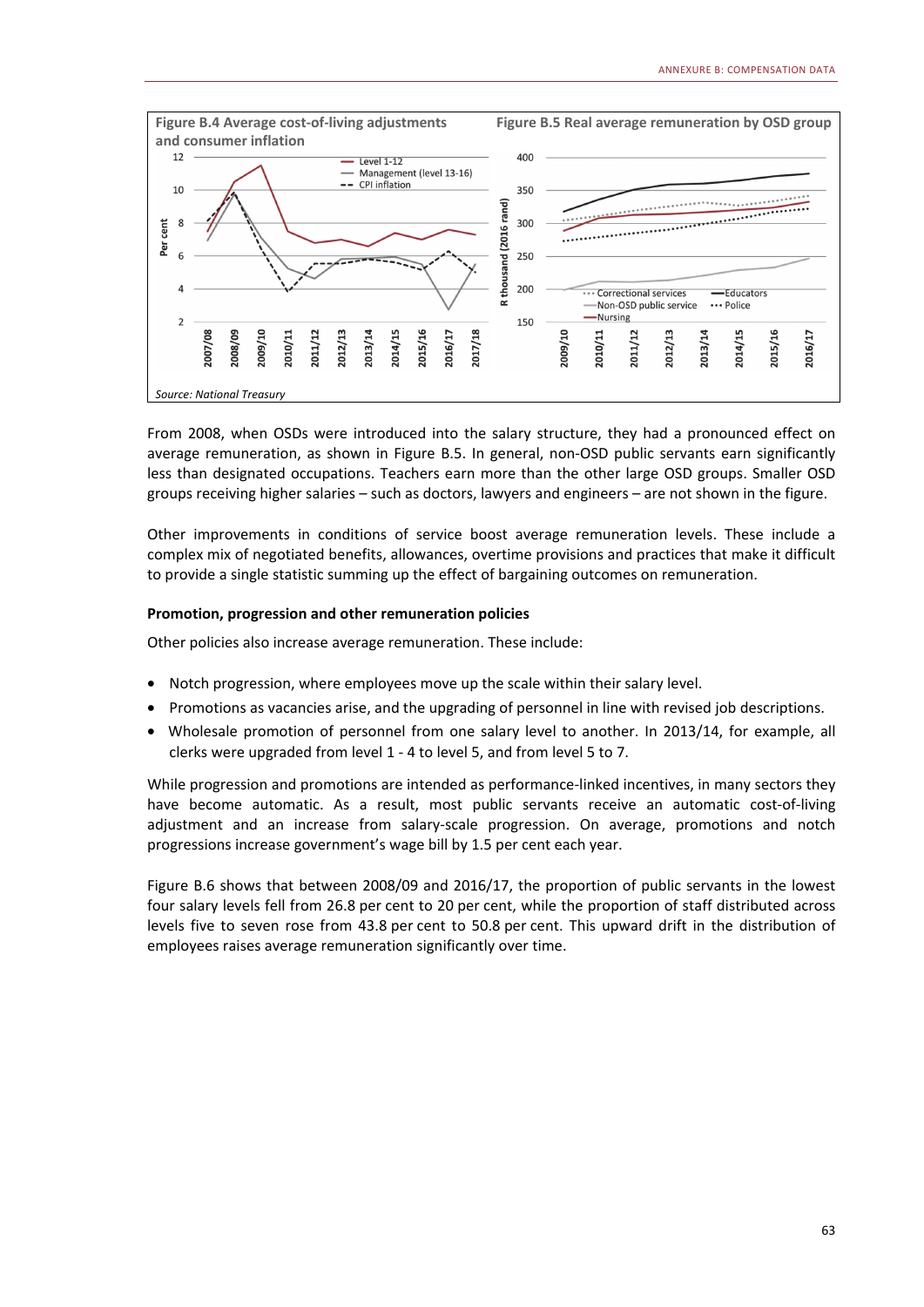

From 2008, when OSDs were introduced into the salary structure, they had a pronounced effect on average remuneration, as shown in Figure B.5. In general, non-OSD public servants earn significantly less than designated occupations. Teachers earn more than the other large OSD groups. Smaller OSD groups receiving higher salaries – such as doctors, lawyers and engineers – are not shown in the figure.

Other improvements in conditions of service boost average remuneration levels. These include a complex mix of negotiated benefits, allowances, overtime provisions and practices that make it difficult to provide a single statistic summing up the effect of bargaining outcomes on remuneration.

#### **Promotion, progression and other remuneration policies**

Other policies also increase average remuneration. These include:

- Notch progression, where employees move up the scale within their salary level.
- Promotions as vacancies arise, and the upgrading of personnel in line with revised job descriptions.
- Wholesale promotion of personnel from one salary level to another. In 2013/14, for example, all clerks were upgraded from level 1 - 4 to level 5, and from level 5 to 7.

While progression and promotions are intended as performance-linked incentives, in many sectors they have become automatic. As a result, most public servants receive an automatic cost-of-living adjustment and an increase from salary-scale progression. On average, promotions and notch progressions increase government's wage bill by 1.5 per cent each year.

Figure B.6 shows that between 2008/09 and 2016/17, the proportion of public servants in the lowest four salary levels fell from 26.8 per cent to 20 per cent, while the proportion of staff distributed across levels five to seven rose from 43.8 per cent to 50.8 per cent. This upward drift in the distribution of employees raises average remuneration significantly over time.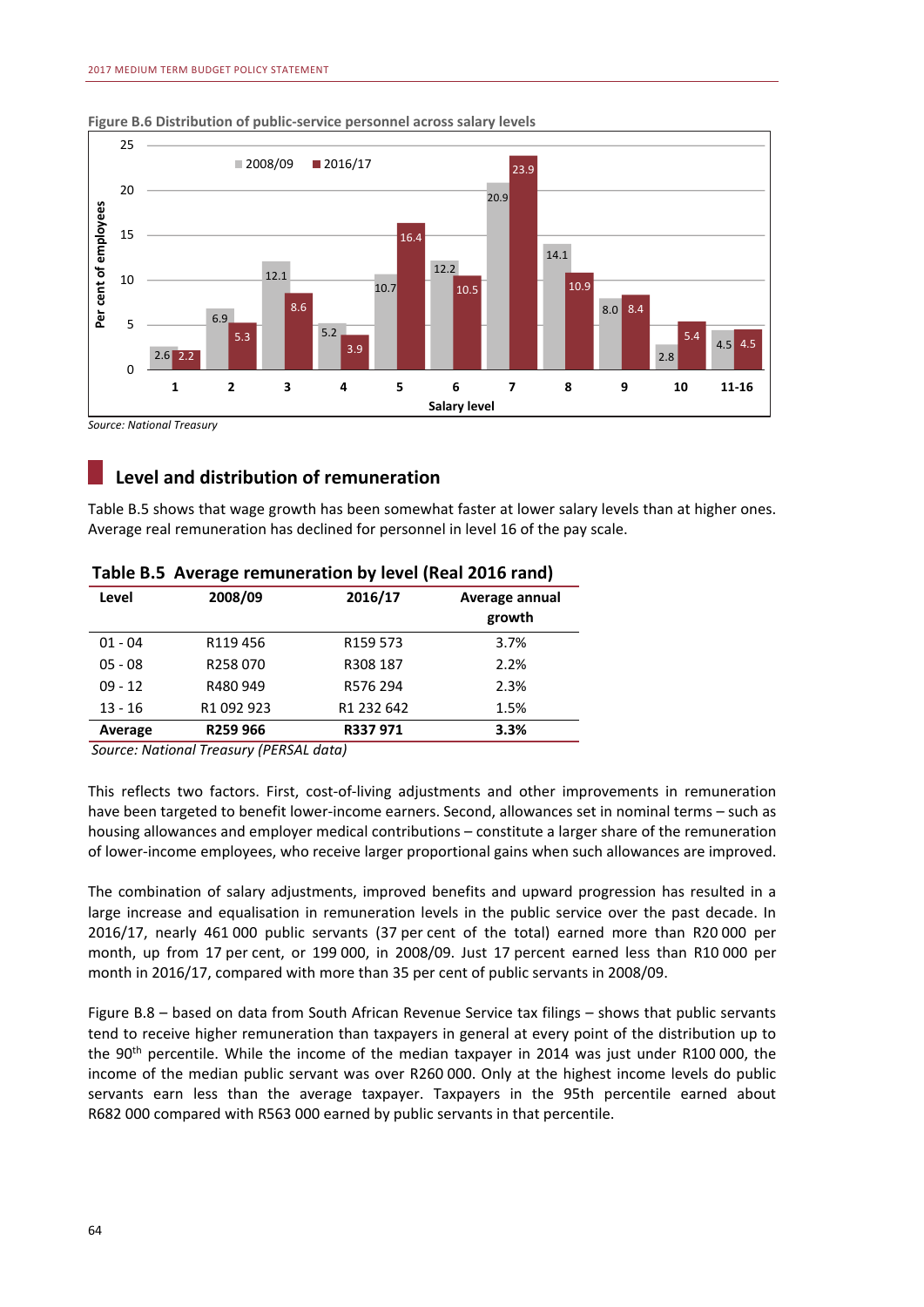

#### **Figure B.6 Distribution of public-service personnel across salary levels**

## **Level and distribution of remuneration**

Table B.5 shows that wage growth has been somewhat faster at lower salary levels than at higher ones. Average real remuneration has declined for personnel in level 16 of the pay scale.

| Level     | 2008/09    | 2016/17    | Average annual |
|-----------|------------|------------|----------------|
|           |            |            | growth         |
| $01 - 04$ | R119456    | R159 573   | 3.7%           |
| $05 - 08$ | R258070    | R308 187   | 2.2%           |
| $09 - 12$ | R480 949   | R576 294   | 2.3%           |
| $13 - 16$ | R1 092 923 | R1 232 642 | 1.5%           |
| Average   | R259 966   | R337 971   | 3.3%           |
|           |            |            |                |

#### **Table B.5 Average remuneration by level (Real 2016 rand)**

*Source: National Treasury (PERSAL data)*

This reflects two factors. First, cost-of-living adjustments and other improvements in remuneration have been targeted to benefit lower-income earners. Second, allowances set in nominal terms – such as housing allowances and employer medical contributions – constitute a larger share of the remuneration of lower-income employees, who receive larger proportional gains when such allowances are improved.

The combination of salary adjustments, improved benefits and upward progression has resulted in a large increase and equalisation in remuneration levels in the public service over the past decade. In 2016/17, nearly 461 000 public servants (37 per cent of the total) earned more than R20 000 per month, up from 17 per cent, or 199 000, in 2008/09. Just 17 percent earned less than R10 000 per month in 2016/17, compared with more than 35 per cent of public servants in 2008/09.

Figure B.8 – based on data from South African Revenue Service tax filings – shows that public servants tend to receive higher remuneration than taxpayers in general at every point of the distribution up to the 90<sup>th</sup> percentile. While the income of the median taxpayer in 2014 was just under R100 000, the income of the median public servant was over R260 000. Only at the highest income levels do public servants earn less than the average taxpayer. Taxpayers in the 95th percentile earned about R682 000 compared with R563 000 earned by public servants in that percentile.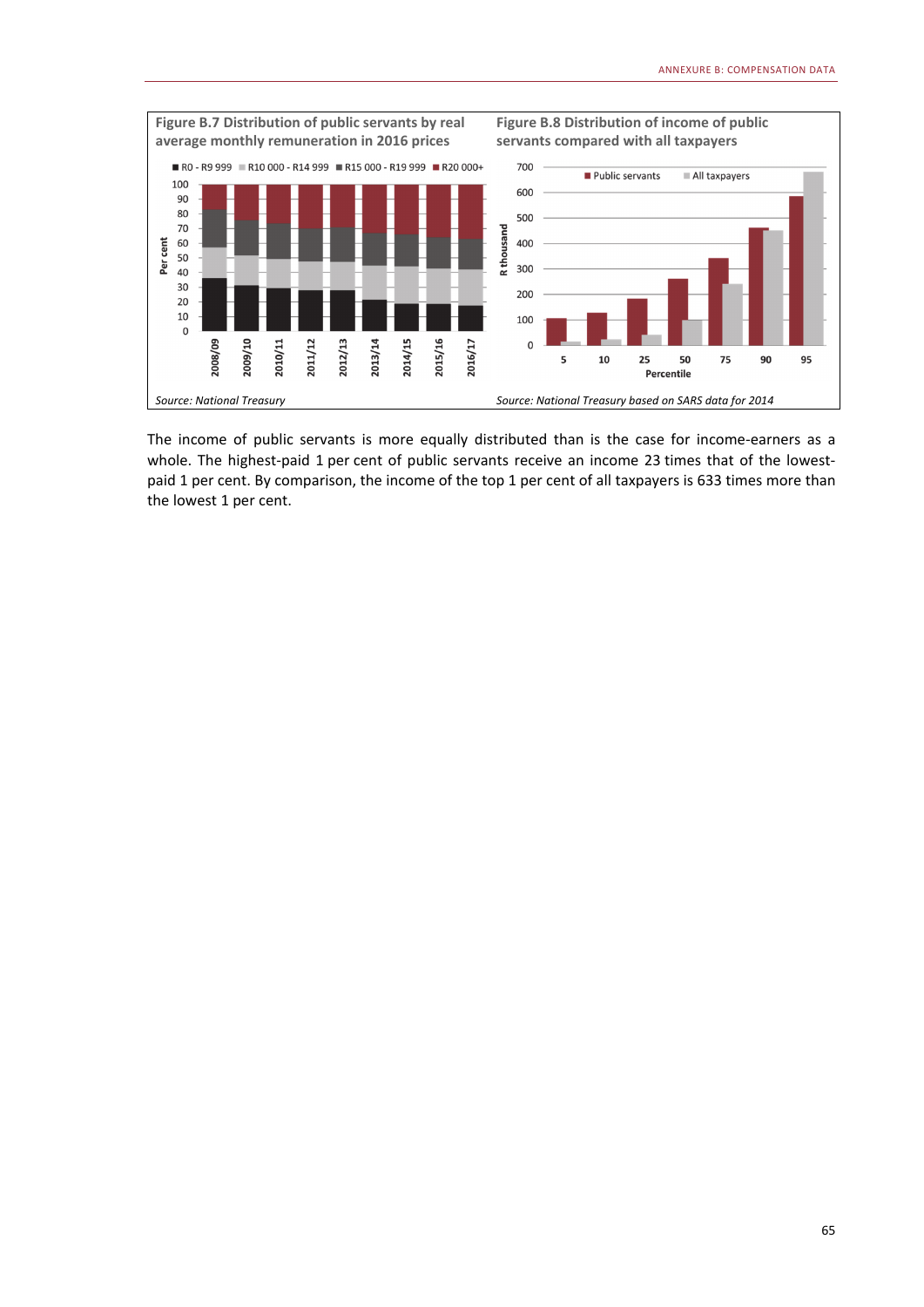

The income of public servants is more equally distributed than is the case for income-earners as a whole. The highest-paid 1 per cent of public servants receive an income 23 times that of the lowestpaid 1 per cent. By comparison, the income of the top 1 per cent of all taxpayers is 633 times more than the lowest 1 per cent.